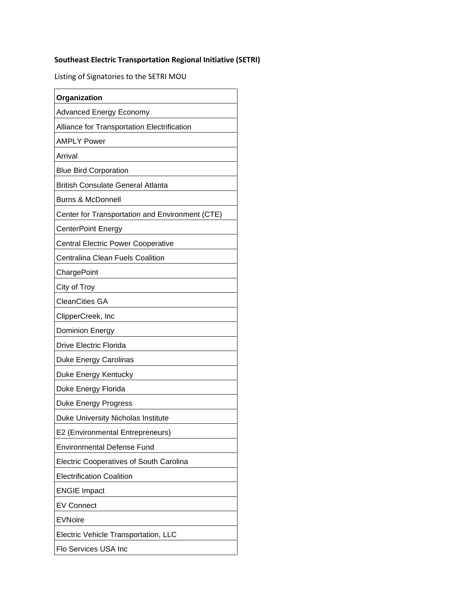## **Southeast Electric Transportation Regional Initiative (SETRI)**

Listing of Signatories to the SETRI MOU

| Organization                                    |
|-------------------------------------------------|
| Advanced Energy Economy                         |
| Alliance for Transportation Electrification     |
| <b>AMPLY Power</b>                              |
| Arrival                                         |
| <b>Blue Bird Corporation</b>                    |
| <b>British Consulate General Atlanta</b>        |
| <b>Burns &amp; McDonnell</b>                    |
| Center for Transportation and Environment (CTE) |
| <b>CenterPoint Energy</b>                       |
| <b>Central Electric Power Cooperative</b>       |
| <b>Centralina Clean Fuels Coalition</b>         |
| ChargePoint                                     |
| City of Troy                                    |
| <b>CleanCities GA</b>                           |
| ClipperCreek, Inc                               |
| <b>Dominion Energy</b>                          |
| <b>Drive Electric Florida</b>                   |
| <b>Duke Energy Carolinas</b>                    |
| Duke Energy Kentucky                            |
| Duke Energy Florida                             |
| <b>Duke Energy Progress</b>                     |
| Duke University Nicholas Institute              |
| E2 (Environmental Entrepreneurs)                |
| <b>Environmental Defense Fund</b>               |
| <b>Electric Cooperatives of South Carolina</b>  |
| <b>Electrification Coalition</b>                |
| <b>ENGIE Impact</b>                             |
| <b>EV Connect</b>                               |
| <b>EVNoire</b>                                  |
| Electric Vehicle Transportation, LLC            |
| Flo Services USA Inc                            |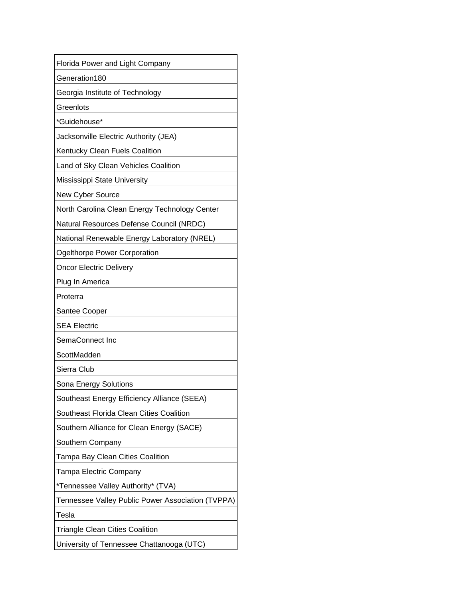| Florida Power and Light Company                   |
|---------------------------------------------------|
| Generation180                                     |
| Georgia Institute of Technology                   |
| Greenlots                                         |
| *Guidehouse*                                      |
| Jacksonville Electric Authority (JEA)             |
| Kentucky Clean Fuels Coalition                    |
| Land of Sky Clean Vehicles Coalition              |
| Mississippi State University                      |
| New Cyber Source                                  |
| North Carolina Clean Energy Technology Center     |
| Natural Resources Defense Council (NRDC)          |
| National Renewable Energy Laboratory (NREL)       |
| Ogelthorpe Power Corporation                      |
| <b>Oncor Electric Delivery</b>                    |
| Plug In America                                   |
| Proterra                                          |
| Santee Cooper                                     |
| <b>SEA Electric</b>                               |
| SemaConnect Inc                                   |
| ScottMadden                                       |
| Sierra Club                                       |
| Sona Energy Solutions                             |
| Southeast Energy Efficiency Alliance (SEEA)       |
| Southeast Florida Clean Cities Coalition          |
| Southern Alliance for Clean Energy (SACE)         |
| Southern Company                                  |
| Tampa Bay Clean Cities Coalition                  |
| Tampa Electric Company                            |
| *Tennessee Valley Authority* (TVA)                |
| Tennessee Valley Public Power Association (TVPPA) |
| Tesla                                             |
| <b>Triangle Clean Cities Coalition</b>            |
| University of Tennessee Chattanooga (UTC)         |